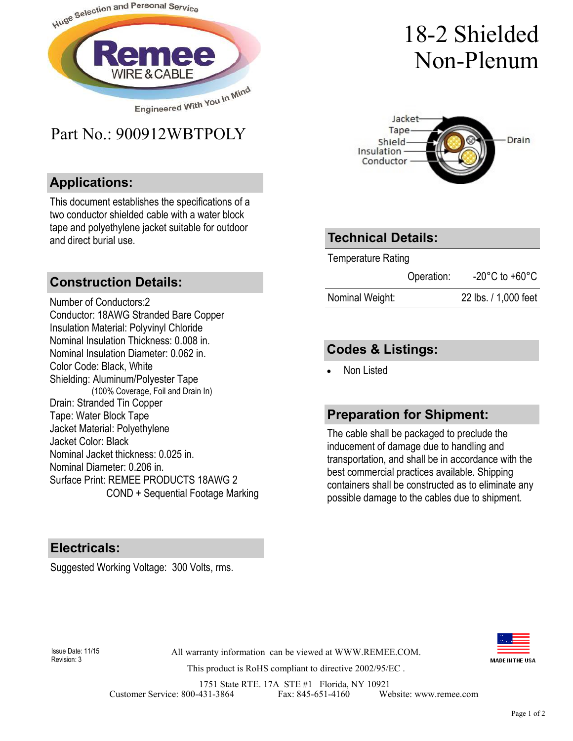

## Part No.: 900912WBTPOLY

#### **Applications:**

This document establishes the specifications of a two conductor shielded cable with a water block tape and polyethylene jacket suitable for outdoor and direct burial use.

#### **Construction Details:**

Number of Conductors:2 Conductor: 18AWG Stranded Bare Copper Insulation Material: Polyvinyl Chloride Nominal Insulation Thickness: 0.008 in. Nominal Insulation Diameter: 0.062 in. Color Code: Black, White Shielding: Aluminum/Polyester Tape (100% Coverage, Foil and Drain In) Drain: Stranded Tin Copper Tape: Water Block Tape Jacket Material: Polyethylene Jacket Color: Black Nominal Jacket thickness: 0.025 in. Nominal Diameter: 0.206 in. Surface Print: REMEE PRODUCTS 18AWG 2 COND + Sequential Footage Marking

#### **Electricals:**

Suggested Working Voltage: 300 Volts, rms.

# 18-2 Shielded Non-Plenum



### **Technical Details:**

Temperature Rating Operation: -20°C to +60°C Nominal Weight: 22 lbs. / 1,000 feet

#### **Codes & Listings:**

• Non Listed

### **Preparation for Shipment:**

The cable shall be packaged to preclude the inducement of damage due to handling and transportation, and shall be in accordance with the best commercial practices available. Shipping containers shall be constructed as to eliminate any possible damage to the cables due to shipment.



Revision: 3

All warranty information can be viewed at WWW.REMEE.COM. Issue Date: 11/15

This product is RoHS compliant to directive 2002/95/EC .

1751 State RTE. 17A STE #1 Florida, NY 10921<br>431-3864 Fax: 845-651-4160 We Customer Service: 800-431-3864 Fax: 845-651-4160 Website: www.remee.com